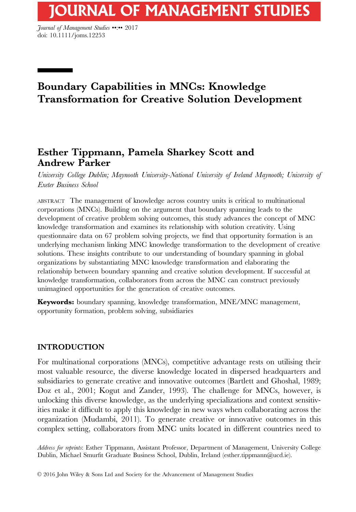# **JOURNAL OF MANAGEMENT STUDIES**

Journal of Management Studies ••:•• 2017 doi: 10.1111/joms.12253

# Boundary Capabilities in MNCs: Knowledge Transformation for Creative Solution Development

# Esther Tippmann, Pamela Sharkey Scott and Andrew Parker

University College Dublin; Maynooth University-National University of Ireland Maynooth; University of Exeter Business School

ABSTRACT The management of knowledge across country units is critical to multinational corporations (MNCs). Building on the argument that boundary spanning leads to the development of creative problem solving outcomes, this study advances the concept of MNC knowledge transformation and examines its relationship with solution creativity. Using questionnaire data on 67 problem solving projects, we find that opportunity formation is an underlying mechanism linking MNC knowledge transformation to the development of creative solutions. These insights contribute to our understanding of boundary spanning in global organizations by substantiating MNC knowledge transformation and elaborating the relationship between boundary spanning and creative solution development. If successful at knowledge transformation, collaborators from across the MNC can construct previously unimagined opportunities for the generation of creative outcomes.

Keywords: boundary spanning, knowledge transformation, MNE/MNC management, opportunity formation, problem solving, subsidiaries

# INTRODUCTION

For multinational corporations (MNCs), competitive advantage rests on utilising their most valuable resource, the diverse knowledge located in dispersed headquarters and subsidiaries to generate creative and innovative outcomes (Bartlett and Ghoshal, 1989; Doz et al., 2001; Kogut and Zander, 1993). The challenge for MNCs, however, is unlocking this diverse knowledge, as the underlying specializations and context sensitivities make it difficult to apply this knowledge in new ways when collaborating across the organization (Mudambi, 2011). To generate creative or innovative outcomes in this complex setting, collaborators from MNC units located in different countries need to

Address for reprints: Esther Tippmann, Assistant Professor, Department of Management, University College Dublin, Michael Smurfit Graduate Business School, Dublin, Ireland (esther.tippmann@ucd.ie).

V<sup>C</sup> 2016 John Wiley & Sons Ltd and Society for the Advancement of Management Studies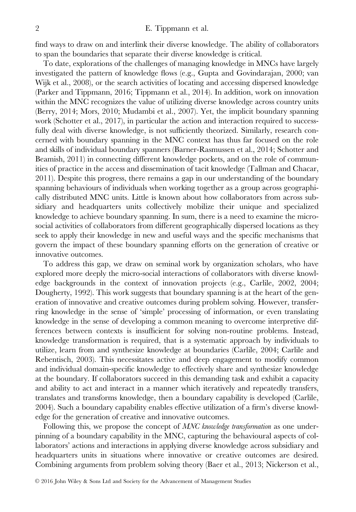#### 2 E. Tippmann et al.

find ways to draw on and interlink their diverse knowledge. The ability of collaborators to span the boundaries that separate their diverse knowledge is critical.

To date, explorations of the challenges of managing knowledge in MNCs have largely investigated the pattern of knowledge flows (e.g., Gupta and Govindarajan, 2000; van Wijk et al., 2008), or the search activities of locating and accessing dispersed knowledge (Parker and Tippmann, 2016; Tippmann et al., 2014). In addition, work on innovation within the MNC recognizes the value of utilizing diverse knowledge across country units (Berry, 2014; Mors, 2010; Mudambi et al., 2007). Yet, the implicit boundary spanning work (Schotter et al., 2017), in particular the action and interaction required to successfully deal with diverse knowledge, is not sufficiently theorized. Similarly, research concerned with boundary spanning in the MNC context has thus far focused on the role and skills of individual boundary spanners (Barner-Rasmussen et al., 2014; Schotter and Beamish, 2011) in connecting different knowledge pockets, and on the role of communities of practice in the access and dissemination of tacit knowledge (Tallman and Chacar, 2011). Despite this progress, there remains a gap in our understanding of the boundary spanning behaviours of individuals when working together as a group across geographically distributed MNC units. Little is known about how collaborators from across subsidiary and headquarters units collectively mobilize their unique and specialized knowledge to achieve boundary spanning. In sum, there is a need to examine the microsocial activities of collaborators from different geographically dispersed locations as they seek to apply their knowledge in new and useful ways and the specific mechanisms that govern the impact of these boundary spanning efforts on the generation of creative or innovative outcomes.

To address this gap, we draw on seminal work by organization scholars, who have explored more deeply the micro-social interactions of collaborators with diverse knowledge backgrounds in the context of innovation projects (e.g., Carlile, 2002, 2004; Dougherty, 1992). This work suggests that boundary spanning is at the heart of the generation of innovative and creative outcomes during problem solving. However, transferring knowledge in the sense of 'simple' processing of information, or even translating knowledge in the sense of developing a common meaning to overcome interpretive differences between contexts is insufficient for solving non-routine problems. Instead, knowledge transformation is required, that is a systematic approach by individuals to utilize, learn from and synthesize knowledge at boundaries (Carlile, 2004; Carlile and Rebentisch, 2003). This necessitates active and deep engagement to modify common and individual domain-specific knowledge to effectively share and synthesize knowledge at the boundary. If collaborators succeed in this demanding task and exhibit a capacity and ability to act and interact in a manner which iteratively and repeatedly transfers, translates and transforms knowledge, then a boundary capability is developed (Carlile, 2004). Such a boundary capability enables effective utilization of a firm's diverse knowledge for the generation of creative and innovative outcomes.

Following this, we propose the concept of MNC knowledge transformation as one underpinning of a boundary capability in the MNC, capturing the behavioural aspects of collaborators' actions and interactions in applying diverse knowledge across subsidiary and headquarters units in situations where innovative or creative outcomes are desired. Combining arguments from problem solving theory (Baer et al., 2013; Nickerson et al.,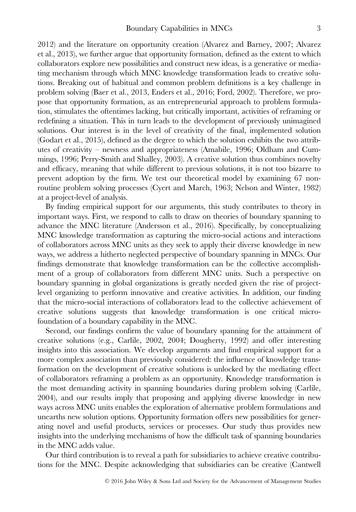2012) and the literature on opportunity creation (Alvarez and Barney, 2007; Alvarez et al., 2013), we further argue that opportunity formation, defined as the extent to which collaborators explore new possibilities and construct new ideas, is a generative or mediating mechanism through which MNC knowledge transformation leads to creative solutions. Breaking out of habitual and common problem definitions is a key challenge in problem solving (Baer et al., 2013, Enders et al., 2016; Ford, 2002). Therefore, we propose that opportunity formation, as an entrepreneurial approach to problem formulation, stimulates the oftentimes lacking, but critically important, activities of reframing or redefining a situation. This in turn leads to the development of previously unimagined solutions. Our interest is in the level of creativity of the final, implemented solution (Godart et al., 2015), defined as the degree to which the solution exhibits the two attributes of creativity – newness and appropriateness (Amabile, 1996; Oldham and Cummings, 1996; Perry-Smith and Shalley, 2003). A creative solution thus combines novelty and efficacy, meaning that while different to previous solutions, it is not too bizarre to prevent adoption by the firm. We test our theoretical model by examining 67 nonroutine problem solving processes (Cyert and March, 1963; Nelson and Winter, 1982) at a project-level of analysis.

By finding empirical support for our arguments, this study contributes to theory in important ways. First, we respond to calls to draw on theories of boundary spanning to advance the MNC literature (Andersson et al., 2016). Specifically, by conceptualizing MNC knowledge transformation as capturing the micro-social actions and interactions of collaborators across MNC units as they seek to apply their diverse knowledge in new ways, we address a hitherto neglected perspective of boundary spanning in MNCs. Our findings demonstrate that knowledge transformation can be the collective accomplishment of a group of collaborators from different MNC units. Such a perspective on boundary spanning in global organizations is greatly needed given the rise of projectlevel organizing to perform innovative and creative activities. In addition, our finding that the micro-social interactions of collaborators lead to the collective achievement of creative solutions suggests that knowledge transformation is one critical microfoundation of a boundary capability in the MNC.

Second, our findings confirm the value of boundary spanning for the attainment of creative solutions (e.g., Carlile, 2002, 2004; Dougherty, 1992) and offer interesting insights into this association. We develop arguments and find empirical support for a more complex association than previously considered: the influence of knowledge transformation on the development of creative solutions is unlocked by the mediating effect of collaborators reframing a problem as an opportunity. Knowledge transformation is the most demanding activity in spanning boundaries during problem solving (Carlile, 2004), and our results imply that proposing and applying diverse knowledge in new ways across MNC units enables the exploration of alternative problem formulations and unearths new solution options. Opportunity formation offers new possibilities for generating novel and useful products, services or processes. Our study thus provides new insights into the underlying mechanisms of how the difficult task of spanning boundaries in the MNC adds value.

Our third contribution is to reveal a path for subsidiaries to achieve creative contributions for the MNC. Despite acknowledging that subsidiaries can be creative (Cantwell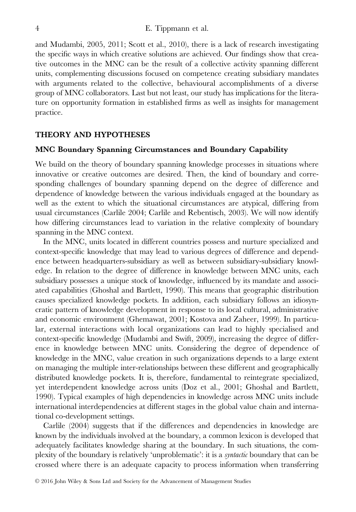and Mudambi, 2005, 2011; Scott et al., 2010), there is a lack of research investigating the specific ways in which creative solutions are achieved. Our findings show that creative outcomes in the MNC can be the result of a collective activity spanning different units, complementing discussions focused on competence creating subsidiary mandates with arguments related to the collective, behavioural accomplishments of a diverse group of MNC collaborators. Last but not least, our study has implications for the literature on opportunity formation in established firms as well as insights for management practice.

#### THEORY AND HYPOTHESES

#### MNC Boundary Spanning Circumstances and Boundary Capability

We build on the theory of boundary spanning knowledge processes in situations where innovative or creative outcomes are desired. Then, the kind of boundary and corresponding challenges of boundary spanning depend on the degree of difference and dependence of knowledge between the various individuals engaged at the boundary as well as the extent to which the situational circumstances are atypical, differing from usual circumstances (Carlile 2004; Carlile and Rebentisch, 2003). We will now identify how differing circumstances lead to variation in the relative complexity of boundary spanning in the MNC context.

In the MNC, units located in different countries possess and nurture specialized and context-specific knowledge that may lead to various degrees of difference and dependence between headquarters-subsidiary as well as between subsidiary-subsidiary knowledge. In relation to the degree of difference in knowledge between MNC units, each subsidiary possesses a unique stock of knowledge, influenced by its mandate and associated capabilities (Ghoshal and Bartlett, 1990). This means that geographic distribution causes specialized knowledge pockets. In addition, each subsidiary follows an idiosyncratic pattern of knowledge development in response to its local cultural, administrative and economic environment (Ghemawat, 2001; Kostova and Zaheer, 1999). In particular, external interactions with local organizations can lead to highly specialised and context-specific knowledge (Mudambi and Swift, 2009), increasing the degree of difference in knowledge between MNC units. Considering the degree of dependence of knowledge in the MNC, value creation in such organizations depends to a large extent on managing the multiple inter-relationships between these different and geographically distributed knowledge pockets. It is, therefore, fundamental to reintegrate specialized, yet interdependent knowledge across units (Doz et al., 2001; Ghoshal and Bartlett, 1990). Typical examples of high dependencies in knowledge across MNC units include international interdependencies at different stages in the global value chain and international co-development settings.

Carlile (2004) suggests that if the differences and dependencies in knowledge are known by the individuals involved at the boundary, a common lexicon is developed that adequately facilitates knowledge sharing at the boundary. In such situations, the complexity of the boundary is relatively 'unproblematic': it is a syntactic boundary that can be crossed where there is an adequate capacity to process information when transferring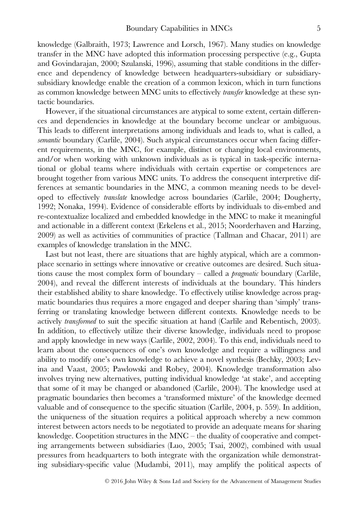knowledge (Galbraith, 1973; Lawrence and Lorsch, 1967). Many studies on knowledge transfer in the MNC have adopted this information processing perspective (e.g., Gupta and Govindarajan, 2000; Szulanski, 1996), assuming that stable conditions in the difference and dependency of knowledge between headquarters-subsidiary or subsidiarysubsidiary knowledge enable the creation of a common lexicon, which in turn functions as common knowledge between MNC units to effectively *transfer* knowledge at these syntactic boundaries.

However, if the situational circumstances are atypical to some extent, certain differences and dependencies in knowledge at the boundary become unclear or ambiguous. This leads to different interpretations among individuals and leads to, what is called, a semantic boundary (Carlile, 2004). Such atypical circumstances occur when facing different requirements, in the MNC, for example, distinct or changing local environments, and/or when working with unknown individuals as is typical in task-specific international or global teams where individuals with certain expertise or competences are brought together from various MNC units. To address the consequent interpretive differences at semantic boundaries in the MNC, a common meaning needs to be developed to effectively translate knowledge across boundaries (Carlile, 2004; Dougherty, 1992; Nonaka, 1994). Evidence of considerable efforts by individuals to dis-embed and re-contextualize localized and embedded knowledge in the MNC to make it meaningful and actionable in a different context (Erkelens et al., 2015; Noorderhaven and Harzing, 2009) as well as activities of communities of practice (Tallman and Chacar, 2011) are examples of knowledge translation in the MNC.

Last but not least, there are situations that are highly atypical, which are a commonplace scenario in settings where innovative or creative outcomes are desired. Such situations cause the most complex form of boundary – called a *pragmatic* boundary (Carlile, 2004), and reveal the different interests of individuals at the boundary. This hinders their established ability to share knowledge. To effectively utilise knowledge across pragmatic boundaries thus requires a more engaged and deeper sharing than 'simply' transferring or translating knowledge between different contexts. Knowledge needs to be actively transformed to suit the specific situation at hand (Carlile and Rebentisch, 2003). In addition, to effectively utilize their diverse knowledge, individuals need to propose and apply knowledge in new ways (Carlile, 2002, 2004). To this end, individuals need to learn about the consequences of one's own knowledge and require a willingness and ability to modify one's own knowledge to achieve a novel synthesis (Bechky, 2003; Levina and Vaast, 2005; Pawlowski and Robey, 2004). Knowledge transformation also involves trying new alternatives, putting individual knowledge 'at stake', and accepting that some of it may be changed or abandoned (Carlile, 2004). The knowledge used at pragmatic boundaries then becomes a 'transformed mixture' of the knowledge deemed valuable and of consequence to the specific situation (Carlile, 2004, p. 559). In addition, the uniqueness of the situation requires a political approach whereby a new common interest between actors needs to be negotiated to provide an adequate means for sharing knowledge. Coopetition structures in the  $MNC$  – the duality of cooperative and competing arrangements between subsidiaries (Luo, 2005; Tsai, 2002), combined with usual pressures from headquarters to both integrate with the organization while demonstrating subsidiary-specific value (Mudambi, 2011), may amplify the political aspects of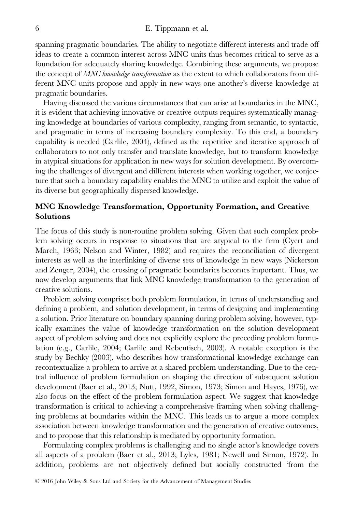spanning pragmatic boundaries. The ability to negotiate different interests and trade off ideas to create a common interest across MNC units thus becomes critical to serve as a foundation for adequately sharing knowledge. Combining these arguments, we propose the concept of *MNC knowledge transformation* as the extent to which collaborators from different MNC units propose and apply in new ways one another's diverse knowledge at pragmatic boundaries.

Having discussed the various circumstances that can arise at boundaries in the MNC, it is evident that achieving innovative or creative outputs requires systematically managing knowledge at boundaries of various complexity, ranging from semantic, to syntactic, and pragmatic in terms of increasing boundary complexity. To this end, a boundary capability is needed (Carlile, 2004), defined as the repetitive and iterative approach of collaborators to not only transfer and translate knowledge, but to transform knowledge in atypical situations for application in new ways for solution development. By overcoming the challenges of divergent and different interests when working together, we conjecture that such a boundary capability enables the MNC to utilize and exploit the value of its diverse but geographically dispersed knowledge.

# MNC Knowledge Transformation, Opportunity Formation, and Creative Solutions

The focus of this study is non-routine problem solving. Given that such complex problem solving occurs in response to situations that are atypical to the firm (Cyert and March, 1963; Nelson and Winter, 1982) and requires the reconciliation of divergent interests as well as the interlinking of diverse sets of knowledge in new ways (Nickerson and Zenger, 2004), the crossing of pragmatic boundaries becomes important. Thus, we now develop arguments that link MNC knowledge transformation to the generation of creative solutions.

Problem solving comprises both problem formulation, in terms of understanding and defining a problem, and solution development, in terms of designing and implementing a solution. Prior literature on boundary spanning during problem solving, however, typically examines the value of knowledge transformation on the solution development aspect of problem solving and does not explicitly explore the preceding problem formulation (e.g., Carlile, 2004; Carlile and Rebentisch, 2003). A notable exception is the study by Bechky (2003), who describes how transformational knowledge exchange can recontextualize a problem to arrive at a shared problem understanding. Due to the central influence of problem formulation on shaping the direction of subsequent solution development (Baer et al., 2013; Nutt, 1992, Simon, 1973; Simon and Hayes, 1976), we also focus on the effect of the problem formulation aspect. We suggest that knowledge transformation is critical to achieving a comprehensive framing when solving challenging problems at boundaries within the MNC. This leads us to argue a more complex association between knowledge transformation and the generation of creative outcomes, and to propose that this relationship is mediated by opportunity formation.

Formulating complex problems is challenging and no single actor's knowledge covers all aspects of a problem (Baer et al., 2013; Lyles, 1981; Newell and Simon, 1972). In addition, problems are not objectively defined but socially constructed 'from the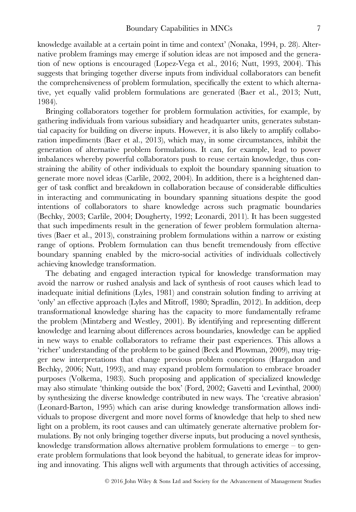knowledge available at a certain point in time and context' (Nonaka, 1994, p. 28). Alternative problem framings may emerge if solution ideas are not imposed and the generation of new options is encouraged (Lopez-Vega et al., 2016; Nutt, 1993, 2004). This suggests that bringing together diverse inputs from individual collaborators can benefit the comprehensiveness of problem formulation, specifically the extent to which alternative, yet equally valid problem formulations are generated (Baer et al., 2013; Nutt, 1984).

Bringing collaborators together for problem formulation activities, for example, by gathering individuals from various subsidiary and headquarter units, generates substantial capacity for building on diverse inputs. However, it is also likely to amplify collaboration impediments (Baer et al., 2013), which may, in some circumstances, inhibit the generation of alternative problem formulations. It can, for example, lead to power imbalances whereby powerful collaborators push to reuse certain knowledge, thus constraining the ability of other individuals to exploit the boundary spanning situation to generate more novel ideas (Carlile, 2002, 2004). In addition, there is a heightened danger of task conflict and breakdown in collaboration because of considerable difficulties in interacting and communicating in boundary spanning situations despite the good intentions of collaborators to share knowledge across such pragmatic boundaries (Bechky, 2003; Carlile, 2004; Dougherty, 1992; Leonardi, 2011). It has been suggested that such impediments result in the generation of fewer problem formulation alternatives (Baer et al., 2013), constraining problem formulations within a narrow or existing range of options. Problem formulation can thus benefit tremendously from effective boundary spanning enabled by the micro-social activities of individuals collectively achieving knowledge transformation.

The debating and engaged interaction typical for knowledge transformation may avoid the narrow or rushed analysis and lack of synthesis of root causes which lead to inadequate initial definitions (Lyles, 1981) and constrain solution finding to arriving at 'only' an effective approach (Lyles and Mitroff, 1980; Spradlin, 2012). In addition, deep transformational knowledge sharing has the capacity to more fundamentally reframe the problem (Mintzberg and Westley, 2001). By identifying and representing different knowledge and learning about differences across boundaries, knowledge can be applied in new ways to enable collaborators to reframe their past experiences. This allows a 'richer' understanding of the problem to be gained (Beck and Plowman, 2009), may trigger new interpretations that change previous problem conceptions (Hargadon and Bechky, 2006; Nutt, 1993), and may expand problem formulation to embrace broader purposes (Volkema, 1983). Such proposing and application of specialized knowledge may also stimulate 'thinking outside the box' (Ford, 2002; Gavetti and Levinthal, 2000) by synthesizing the diverse knowledge contributed in new ways. The 'creative abrasion' (Leonard-Barton, 1995) which can arise during knowledge transformation allows individuals to propose divergent and more novel forms of knowledge that help to shed new light on a problem, its root causes and can ultimately generate alternative problem formulations. By not only bringing together diverse inputs, but producing a novel synthesis, knowledge transformation allows alternative problem formulations to emerge  $-$  to generate problem formulations that look beyond the habitual, to generate ideas for improving and innovating. This aligns well with arguments that through activities of accessing,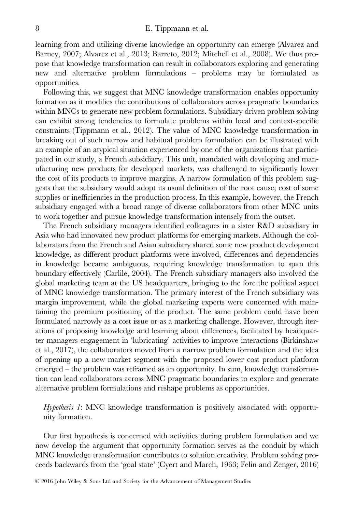learning from and utilizing diverse knowledge an opportunity can emerge (Alvarez and Barney, 2007; Alvarez et al., 2013; Barreto, 2012; Mitchell et al., 2008). We thus propose that knowledge transformation can result in collaborators exploring and generating new and alternative problem formulations – problems may be formulated as opportunities.

Following this, we suggest that MNC knowledge transformation enables opportunity formation as it modifies the contributions of collaborators across pragmatic boundaries within MNCs to generate new problem formulations. Subsidiary driven problem solving can exhibit strong tendencies to formulate problems within local and context-specific constraints (Tippmann et al., 2012). The value of MNC knowledge transformation in breaking out of such narrow and habitual problem formulation can be illustrated with an example of an atypical situation experienced by one of the organizations that participated in our study, a French subsidiary. This unit, mandated with developing and manufacturing new products for developed markets, was challenged to significantly lower the cost of its products to improve margins. A narrow formulation of this problem suggests that the subsidiary would adopt its usual definition of the root cause; cost of some supplies or inefficiencies in the production process. In this example, however, the French subsidiary engaged with a broad range of diverse collaborators from other MNC units to work together and pursue knowledge transformation intensely from the outset.

The French subsidiary managers identified colleagues in a sister R&D subsidiary in Asia who had innovated new product platforms for emerging markets. Although the collaborators from the French and Asian subsidiary shared some new product development knowledge, as different product platforms were involved, differences and dependencies in knowledge became ambiguous, requiring knowledge transformation to span this boundary effectively (Carlile, 2004). The French subsidiary managers also involved the global marketing team at the US headquarters, bringing to the fore the political aspect of MNC knowledge transformation. The primary interest of the French subsidiary was margin improvement, while the global marketing experts were concerned with maintaining the premium positioning of the product. The same problem could have been formulated narrowly as a cost issue or as a marketing challenge. However, through iterations of proposing knowledge and learning about differences, facilitated by headquarter managers engagement in 'lubricating' activities to improve interactions (Birkinshaw et al., 2017), the collaborators moved from a narrow problem formulation and the idea of opening up a new market segment with the proposed lower cost product platform emerged – the problem was reframed as an opportunity. In sum, knowledge transformation can lead collaborators across MNC pragmatic boundaries to explore and generate alternative problem formulations and reshape problems as opportunities.

Hypothesis 1: MNC knowledge transformation is positively associated with opportunity formation.

Our first hypothesis is concerned with activities during problem formulation and we now develop the argument that opportunity formation serves as the conduit by which MNC knowledge transformation contributes to solution creativity. Problem solving proceeds backwards from the 'goal state' (Cyert and March, 1963; Felin and Zenger, 2016)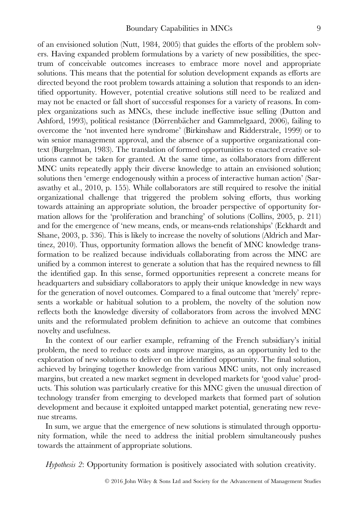of an envisioned solution (Nutt, 1984, 2005) that guides the efforts of the problem solvers. Having expanded problem formulations by a variety of new possibilities, the spectrum of conceivable outcomes increases to embrace more novel and appropriate solutions. This means that the potential for solution development expands as efforts are directed beyond the root problem towards attaining a solution that responds to an identified opportunity. However, potential creative solutions still need to be realized and may not be enacted or fall short of successful responses for a variety of reasons. In complex organizations such as MNCs, these include ineffective issue selling (Dutton and Ashford, 1993), political resistance (Dörrenbächer and Gammelgaard, 2006), failing to overcome the 'not invented here syndrome' (Birkinshaw and Ridderstrale, 1999) or to win senior management approval, and the absence of a supportive organizational context (Burgelman, 1983). The translation of formed opportunities to enacted creative solutions cannot be taken for granted. At the same time, as collaborators from different MNC units repeatedly apply their diverse knowledge to attain an envisioned solution; solutions then 'emerge endogenously within a process of interactive human action' (Sarasvathy et al., 2010, p. 155). While collaborators are still required to resolve the initial organizational challenge that triggered the problem solving efforts, thus working towards attaining an appropriate solution, the broader perspective of opportunity formation allows for the 'proliferation and branching' of solutions (Collins, 2005, p. 211) and for the emergence of 'new means, ends, or means-ends relationships' (Eckhardt and Shane, 2003, p. 336). This is likely to increase the novelty of solutions (Aldrich and Martinez, 2010). Thus, opportunity formation allows the benefit of MNC knowledge transformation to be realized because individuals collaborating from across the MNC are unified by a common interest to generate a solution that has the required newness to fill the identified gap. In this sense, formed opportunities represent a concrete means for headquarters and subsidiary collaborators to apply their unique knowledge in new ways for the generation of novel outcomes. Compared to a final outcome that 'merely' represents a workable or habitual solution to a problem, the novelty of the solution now reflects both the knowledge diversity of collaborators from across the involved MNC units and the reformulated problem definition to achieve an outcome that combines novelty and usefulness.

In the context of our earlier example, reframing of the French subsidiary's initial problem, the need to reduce costs and improve margins, as an opportunity led to the exploration of new solutions to deliver on the identified opportunity. The final solution, achieved by bringing together knowledge from various MNC units, not only increased margins, but created a new market segment in developed markets for 'good value' products. This solution was particularly creative for this MNC given the unusual direction of technology transfer from emerging to developed markets that formed part of solution development and because it exploited untapped market potential, generating new revenue streams.

In sum, we argue that the emergence of new solutions is stimulated through opportunity formation, while the need to address the initial problem simultaneously pushes towards the attainment of appropriate solutions.

Hypothesis 2: Opportunity formation is positively associated with solution creativity.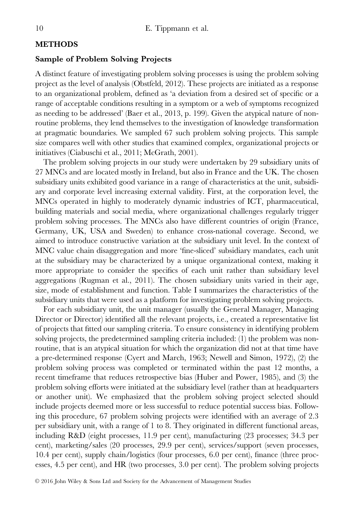#### **METHODS**

#### Sample of Problem Solving Projects

A distinct feature of investigating problem solving processes is using the problem solving project as the level of analysis (Obstfeld, 2012). These projects are initiated as a response to an organizational problem, defined as 'a deviation from a desired set of specific or a range of acceptable conditions resulting in a symptom or a web of symptoms recognized as needing to be addressed' (Baer et al., 2013, p. 199). Given the atypical nature of nonroutine problems, they lend themselves to the investigation of knowledge transformation at pragmatic boundaries. We sampled 67 such problem solving projects. This sample size compares well with other studies that examined complex, organizational projects or initiatives (Ciabuschi et al., 2011; McGrath, 2001).

The problem solving projects in our study were undertaken by 29 subsidiary units of 27 MNCs and are located mostly in Ireland, but also in France and the UK. The chosen subsidiary units exhibited good variance in a range of characteristics at the unit, subsidiary and corporate level increasing external validity. First, at the corporation level, the MNCs operated in highly to moderately dynamic industries of ICT, pharmaceutical, building materials and social media, where organizational challenges regularly trigger problem solving processes. The MNCs also have different countries of origin (France, Germany, UK, USA and Sweden) to enhance cross-national coverage. Second, we aimed to introduce constructive variation at the subsidiary unit level. In the context of MNC value chain disaggregation and more 'fine-sliced' subsidiary mandates, each unit at the subsidiary may be characterized by a unique organizational context, making it more appropriate to consider the specifics of each unit rather than subsidiary level aggregations (Rugman et al., 2011). The chosen subsidiary units varied in their age, size, mode of establishment and function. Table I summarizes the characteristics of the subsidiary units that were used as a platform for investigating problem solving projects.

For each subsidiary unit, the unit manager (usually the General Manager, Managing Director or Director) identified all the relevant projects, i.e., created a representative list of projects that fitted our sampling criteria. To ensure consistency in identifying problem solving projects, the predetermined sampling criteria included: (1) the problem was nonroutine, that is an atypical situation for which the organization did not at that time have a pre-determined response (Cyert and March, 1963; Newell and Simon, 1972), (2) the problem solving process was completed or terminated within the past 12 months, a recent timeframe that reduces retrospective bias (Huber and Power, 1985), and (3) the problem solving efforts were initiated at the subsidiary level (rather than at headquarters or another unit). We emphasized that the problem solving project selected should include projects deemed more or less successful to reduce potential success bias. Following this procedure, 67 problem solving projects were identified with an average of 2.3 per subsidiary unit, with a range of 1 to 8. They originated in different functional areas, including R&D (eight processes, 11.9 per cent), manufacturing (23 processes; 34.3 per cent), marketing/sales (20 processes, 29.9 per cent), services/support (seven processes, 10.4 per cent), supply chain/logistics (four processes, 6.0 per cent), finance (three processes, 4.5 per cent), and HR (two processes, 3.0 per cent). The problem solving projects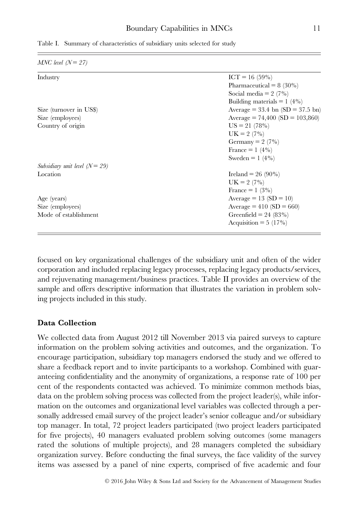| $MNC$ level $(N = 27)$           |                                                       |
|----------------------------------|-------------------------------------------------------|
| Industry                         | $ICT = 16 (59%)$                                      |
|                                  | Pharmaceutical = $8(30\%)$                            |
|                                  | Social media = $2(7\%)$                               |
|                                  | Building materials $= 1$ (4%)                         |
| Size (turnover in US\$)          | Average = $33.4 \text{ bn}$ (SD = $37.5 \text{ bn}$ ) |
| Size (employees)                 | Average = $74,400$ (SD = $103,860$ )                  |
| Country of origin                | $US = 21 (78%)$                                       |
|                                  | $UK = 2 (7\%)$                                        |
|                                  | Germany = $2(7%)$                                     |
|                                  | France = $1(4\%)$                                     |
|                                  | Sweden = $1(4\%)$                                     |
| Subsidiary unit level $(N = 29)$ |                                                       |
| Location                         | Ireland = $26(90\%)$                                  |
|                                  | $UK = 2 (7\%)$                                        |
|                                  | France = $1(3\%)$                                     |
| Age (years)                      | Average = $13(SD = 10)$                               |
| Size (employees)                 | Average = $410(SD = 660)$                             |
| Mode of establishment            | Greenfield = $24(83%)$                                |
|                                  | Acquisition = $5(17\%)$                               |
|                                  |                                                       |

Table I. Summary of characteristics of subsidiary units selected for study

focused on key organizational challenges of the subsidiary unit and often of the wider corporation and included replacing legacy processes, replacing legacy products/services, and rejuvenating management/business practices. Table II provides an overview of the sample and offers descriptive information that illustrates the variation in problem solving projects included in this study.

#### Data Collection

We collected data from August 2012 till November 2013 via paired surveys to capture information on the problem solving activities and outcomes, and the organization. To encourage participation, subsidiary top managers endorsed the study and we offered to share a feedback report and to invite participants to a workshop. Combined with guaranteeing confidentiality and the anonymity of organizations, a response rate of 100 per cent of the respondents contacted was achieved. To minimize common methods bias, data on the problem solving process was collected from the project leader(s), while information on the outcomes and organizational level variables was collected through a personally addressed email survey of the project leader's senior colleague and/or subsidiary top manager. In total, 72 project leaders participated (two project leaders participated for five projects), 40 managers evaluated problem solving outcomes (some managers rated the solutions of multiple projects), and 28 managers completed the subsidiary organization survey. Before conducting the final surveys, the face validity of the survey items was assessed by a panel of nine experts, comprised of five academic and four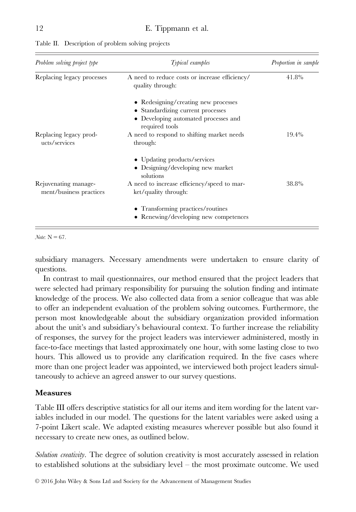| Problem solving project type                    | Typical examples                                                                                                                | Proportion in sample |
|-------------------------------------------------|---------------------------------------------------------------------------------------------------------------------------------|----------------------|
| Replacing legacy processes                      | A need to reduce costs or increase efficiency/<br>quality through:                                                              | 41.8%                |
|                                                 | • Redesigning/creating new processes<br>Standardizing current processes<br>Developing automated processes and<br>required tools |                      |
| Replacing legacy prod-<br>ucts/services         | A need to respond to shifting market needs<br>through:                                                                          | 19.4%                |
|                                                 | • Updating products/services<br>Designing/developing new market<br>solutions                                                    |                      |
| Rejuvenating manage-<br>ment/business practices | A need to increase efficiency/speed to mar-<br>ket/quality through:                                                             | 38.8%                |
|                                                 | • Transforming practices/routines<br>Renewing/developing new competences                                                        |                      |

Table II. Description of problem solving projects

 $Note: N = 67.$ 

subsidiary managers. Necessary amendments were undertaken to ensure clarity of questions.

In contrast to mail questionnaires, our method ensured that the project leaders that were selected had primary responsibility for pursuing the solution finding and intimate knowledge of the process. We also collected data from a senior colleague that was able to offer an independent evaluation of the problem solving outcomes. Furthermore, the person most knowledgeable about the subsidiary organization provided information about the unit's and subsidiary's behavioural context. To further increase the reliability of responses, the survey for the project leaders was interviewer administered, mostly in face-to-face meetings that lasted approximately one hour, with some lasting close to two hours. This allowed us to provide any clarification required. In the five cases where more than one project leader was appointed, we interviewed both project leaders simultaneously to achieve an agreed answer to our survey questions.

## Measures

Table III offers descriptive statistics for all our items and item wording for the latent variables included in our model. The questions for the latent variables were asked using a 7-point Likert scale. We adapted existing measures wherever possible but also found it necessary to create new ones, as outlined below.

Solution creativity. The degree of solution creativity is most accurately assessed in relation to established solutions at the subsidiary level – the most proximate outcome. We used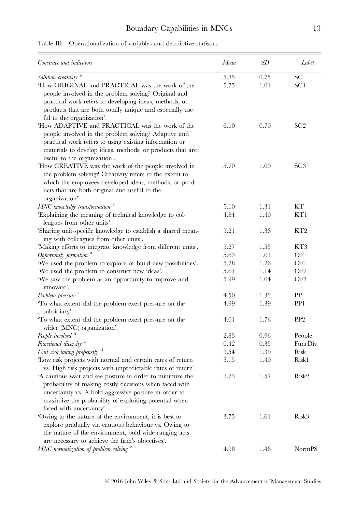Table III. Operationalization of variables and descriptive statistics

| Construct and indicators                                                                                                                                                                                                                                          | Mean | SD   | Label           |
|-------------------------------------------------------------------------------------------------------------------------------------------------------------------------------------------------------------------------------------------------------------------|------|------|-----------------|
| Solution creativity <sup>a</sup>                                                                                                                                                                                                                                  | 5.85 | 0.75 | SС              |
| 'How ORIGINAL and PRACTICAL was the work of the<br>people involved in the problem solving? Original and<br>practical work refers to developing ideas, methods, or<br>products that are both totally unique and especially use-<br>ful to the organization'.       | 5.75 | 1.01 | SC1             |
| 'How ADAPTIVE and PRACTICAL was the work of the<br>people involved in the problem solving? Adaptive and<br>practical work refers to using existing information or<br>materials to develop ideas, methods, or products that are<br>useful to the organization'.    | 6.10 | 0.70 | SC <sub>2</sub> |
| 'How CREATIVE was the work of the people involved in<br>the problem solving? Creativity refers to the extent to<br>which the employees developed ideas, methods, or prod-<br>ucts that are both original and useful to the<br>organization'.                      | 5.70 | 1.09 | SC <sub>3</sub> |
| MNC knowledge transformation <sup>a</sup>                                                                                                                                                                                                                         | 5.10 | 1.31 | KТ              |
| 'Explaining the meaning of technical knowledge to col-<br>leagues from other units'.                                                                                                                                                                              | 4.84 | 1.40 | KT1             |
| 'Sharing unit-specific knowledge to establish a shared mean-<br>ing with colleagues from other units'.                                                                                                                                                            | 5.21 | 1.38 | KT2             |
| 'Making efforts to integrate knowledge from different units'.                                                                                                                                                                                                     | 5.27 | 1.55 | KT3             |
| Opportunity formation <sup>a</sup>                                                                                                                                                                                                                                | 5.63 | 1.01 | OF              |
| 'We used the problem to explore or build new possibilities'.                                                                                                                                                                                                      | 5.28 | 1.26 | OF1             |
| 'We used the problem to construct new ideas'.                                                                                                                                                                                                                     | 5.61 | 1.14 | OF <sub>2</sub> |
| 'We saw the problem as an opportunity to improve and<br>innovate'.                                                                                                                                                                                                | 5.99 | 1.04 | OF3             |
| Problem pressure <sup>a</sup>                                                                                                                                                                                                                                     | 4.50 | 1.33 | PP              |
| 'To what extent did the problem exert pressure on the                                                                                                                                                                                                             | 4.99 | 1.39 | PP <sub>1</sub> |
| subsidiary'.<br>'To what extent did the problem exert pressure on the<br>wider (MNC) organization'.                                                                                                                                                               | 4.01 | 1.76 | PP <sub>2</sub> |
| People involved b                                                                                                                                                                                                                                                 | 2.83 | 0.96 | People          |
| Functional diversity <sup>c</sup>                                                                                                                                                                                                                                 | 0.42 | 0.35 | FuncDiv         |
| Unit risk taking propensity <sup>d</sup>                                                                                                                                                                                                                          | 3.54 | 1.39 | Risk            |
| 'Low risk projects with normal and certain rates of return<br>vs. High risk projects with unpredictable rates of return'.                                                                                                                                         | 3.15 | 1.40 | Risk1           |
| 'A cautious wait and see posture in order to minimize the<br>probability of making costly decisions when faced with<br>uncertainty vs. A bold aggressive posture in order to<br>maximize the probability of exploiting potential when<br>faced with uncertainty'. | 3.73 | 1.57 | Risk2           |
| 'Owing to the nature of the environment, it is best to<br>explore gradually via cautious behaviour vs. Owing to<br>the nature of the environment, bold wide-ranging acts<br>are necessary to achieve the firm's objectives'.                                      | 3.75 | 1.61 | Risk3           |
| MNC normalization of problem solving $e$                                                                                                                                                                                                                          | 4.98 | 1.46 | <b>NormPS</b>   |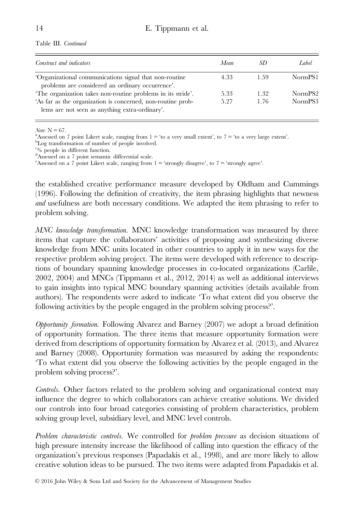Table III. Continued

| Construct and indicators                                                                                     | Mean | SD.  | Label   |
|--------------------------------------------------------------------------------------------------------------|------|------|---------|
| 'Organizational communications signal that non-routine<br>problems are considered an ordinary occurrence'.   | 4.33 | 1.59 | NormPS1 |
| The organization takes non-routine problems in its stride.                                                   | 5.33 | 1.32 | NormPS2 |
| 'As far as the organization is concerned, non-routine prob-<br>lems are not seen as anything extra-ordinary. | 5.27 | 1.76 | NormPS3 |

*Note*:  $N = 67$ .

Assessed on 7 point Likert scale, ranging from  $1 = '$ to a very small extent', to  $7 = '$ to a very large extent'.

Log transformation of number of people involved.

c % people in different function.

d Assessed on a 7 point semantic differential scale.

<sup>e</sup>Assessed on a 7 point Likert scale, ranging from  $1 =$  'strongly disagree', to 7 = 'strongly agree'.

the established creative performance measure developed by Oldham and Cummings (1996). Following the definition of creativity, the item phrasing highlights that newness and usefulness are both necessary conditions. We adapted the item phrasing to refer to problem solving.

MNC knowledge transformation. MNC knowledge transformation was measured by three items that capture the collaborators' activities of proposing and synthesizing diverse knowledge from MNC units located in other countries to apply it in new ways for the respective problem solving project. The items were developed with reference to descriptions of boundary spanning knowledge processes in co-located organizations (Carlile, 2002, 2004) and MNCs (Tippmann et al., 2012, 2014) as well as additional interviews to gain insights into typical MNC boundary spanning activities (details available from authors). The respondents were asked to indicate 'To what extent did you observe the following activities by the people engaged in the problem solving process?'.

Opportunity formation. Following Alvarez and Barney (2007) we adopt a broad definition of opportunity formation. The three items that measure opportunity formation were derived from descriptions of opportunity formation by Alvarez et al. (2013), and Alvarez and Barney (2008). Opportunity formation was measured by asking the respondents: 'To what extent did you observe the following activities by the people engaged in the problem solving process?'.

Controls. Other factors related to the problem solving and organizational context may influence the degree to which collaborators can achieve creative solutions. We divided our controls into four broad categories consisting of problem characteristics, problem solving group level, subsidiary level, and MNC level controls.

Problem characteristic controls. We controlled for problem pressure as decision situations of high pressure intensity increase the likelihood of calling into question the efficacy of the organization's previous responses (Papadakis et al., 1998), and are more likely to allow creative solution ideas to be pursued. The two items were adapted from Papadakis et al.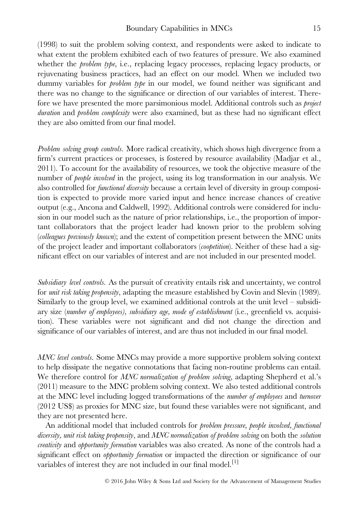(1998) to suit the problem solving context, and respondents were asked to indicate to what extent the problem exhibited each of two features of pressure. We also examined whether the *problem type*, i.e., replacing legacy processes, replacing legacy products, or rejuvenating business practices, had an effect on our model. When we included two dummy variables for *problem type* in our model, we found neither was significant and there was no change to the significance or direction of our variables of interest. Therefore we have presented the more parsimonious model. Additional controls such as *project* duration and *problem complexity* were also examined, but as these had no significant effect they are also omitted from our final model.

Problem solving group controls. More radical creativity, which shows high divergence from a firm's current practices or processes, is fostered by resource availability (Madjar et al., 2011). To account for the availability of resources, we took the objective measure of the number of *people involved* in the project, using its log transformation in our analysis. We also controlled for *functional diversity* because a certain level of diversity in group composition is expected to provide more varied input and hence increase chances of creative output (e.g., Ancona and Caldwell, 1992). Additional controls were considered for inclusion in our model such as the nature of prior relationships, i.e., the proportion of important collaborators that the project leader had known prior to the problem solving (colleagues previously known); and the extent of competition present between the MNC units of the project leader and important collaborators (coopetition). Neither of these had a significant effect on our variables of interest and are not included in our presented model.

Subsidiary level controls. As the pursuit of creativity entails risk and uncertainty, we control for *unit risk taking propensity*, adapting the measure established by Covin and Slevin (1989). Similarly to the group level, we examined additional controls at the unit level – subsidiary size (number of employees), subsidiary age, mode of establishment (i.e., greenfield vs. acquisition). These variables were not significant and did not change the direction and significance of our variables of interest, and are thus not included in our final model.

MNC level controls. Some MNCs may provide a more supportive problem solving context to help dissipate the negative connotations that facing non-routine problems can entail. We therefore control for *MNC normalization of problem solving*, adapting Shepherd et al.'s (2011) measure to the MNC problem solving context. We also tested additional controls at the MNC level including logged transformations of the number of employees and turnover (2012 US\$) as proxies for MNC size, but found these variables were not significant, and they are not presented here.

An additional model that included controls for *problem pressure, people involved, functional* diversity, unit risk taking propensity, and MNC normalization of problem solving on both the solution creativity and opportunity formation variables was also created. As none of the controls had a significant effect on *opportunity formation* or impacted the direction or significance of our variables of interest they are not included in our final model.<sup>[1]</sup>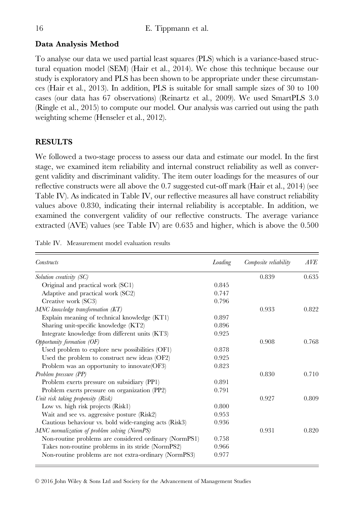# Data Analysis Method

To analyse our data we used partial least squares (PLS) which is a variance-based structural equation model (SEM) (Hair et al., 2014). We chose this technique because our study is exploratory and PLS has been shown to be appropriate under these circumstances (Hair et al., 2013). In addition, PLS is suitable for small sample sizes of 30 to 100 cases (our data has 67 observations) (Reinartz et al., 2009). We used SmartPLS 3.0 (Ringle et al., 2015) to compute our model. Our analysis was carried out using the path weighting scheme (Henseler et al., 2012).

# RESULTS

We followed a two-stage process to assess our data and estimate our model. In the first stage, we examined item reliability and internal construct reliability as well as convergent validity and discriminant validity. The item outer loadings for the measures of our reflective constructs were all above the 0.7 suggested cut-off mark (Hair et al., 2014) (see Table IV). As indicated in Table IV, our reflective measures all have construct reliability values above 0.830, indicating their internal reliability is acceptable. In addition, we examined the convergent validity of our reflective constructs. The average variance extracted (AVE) values (see Table IV) are 0.635 and higher, which is above the 0.500

| <b>Constructs</b>                                      | Loading | Composite reliability | AVE   |
|--------------------------------------------------------|---------|-----------------------|-------|
| Solution creativity (SC)                               |         | 0.839                 | 0.635 |
| Original and practical work (SC1)                      | 0.845   |                       |       |
| Adaptive and practical work (SC2)                      | 0.747   |                       |       |
| Creative work (SC3)                                    | 0.796   |                       |       |
| $MNC$ knowledge transformation $(KT)$                  |         | 0.933                 | 0.822 |
| Explain meaning of technical knowledge (KT1)           | 0.897   |                       |       |
| Sharing unit-specific knowledge (KT2)                  | 0.896   |                       |       |
| Integrate knowledge from different units (KT3)         | 0.925   |                       |       |
| Opportunity formation (OF)                             |         | 0.908                 | 0.768 |
| Used problem to explore new possibilities (OF1)        | 0.878   |                       |       |
| Used the problem to construct new ideas (OF2)          | 0.925   |                       |       |
| Problem was an opportunity to innovate (OF3)           | 0.823   |                       |       |
| Problem pressure (PP)                                  |         | 0.830                 | 0.710 |
| Problem exerts pressure on subsidiary (PP1)            | 0.891   |                       |       |
| Problem exerts pressure on organization (PP2)          | 0.791   |                       |       |
| Unit risk taking propensity (Risk)                     |         | 0.927                 | 0.809 |
| Low vs. high risk projects (Risk1)                     | 0.800   |                       |       |
| Wait and see vs. aggressive posture (Risk2)            | 0.953   |                       |       |
| Cautious behaviour vs. bold wide-ranging acts (Risk3)  | 0.936   |                       |       |
| MNC normalization of problem solving (NormPS)          |         | 0.931                 | 0.820 |
| Non-routine problems are considered ordinary (NormPS1) | 0.758   |                       |       |
| Takes non-routine problems in its stride (NormPS2)     | 0.966   |                       |       |
| Non-routine problems are not extra-ordinary (NormPS3)  | 0.977   |                       |       |

Table IV. Measurement model evaluation results

V<sup>C</sup> 2016 John Wiley & Sons Ltd and Society for the Advancement of Management Studies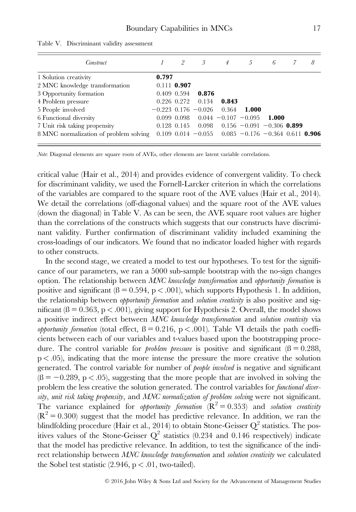| Construct                                                                                       |               | $\overline{2}$ | $\mathcal{S}$                             | $\overline{4}$ | $\sqrt{2}$                    | 6     | 8 |
|-------------------------------------------------------------------------------------------------|---------------|----------------|-------------------------------------------|----------------|-------------------------------|-------|---|
| 1 Solution creativity                                                                           | 0.797         |                |                                           |                |                               |       |   |
| 2 MNC knowledge transformation                                                                  | $0.111$ 0.907 |                |                                           |                |                               |       |   |
| 3 Opportunity formation                                                                         | 0.409 0.594   |                | 0.876                                     |                |                               |       |   |
| 4 Problem pressure                                                                              |               | 0.226 0.272    | 0.134                                     | 0.843          |                               |       |   |
| 5 People involved                                                                               |               |                | $-0.223$ 0.176 $-0.026$                   | 0.364          | 1.000                         |       |   |
| 6 Functional diversity                                                                          |               |                | $0.099$ $0.098$ $0.044$ $-0.107$ $-0.095$ |                |                               | 1.000 |   |
| 7 Unit risk taking propensity                                                                   |               |                | $0.128$ $0.145$ $0.098$                   |                | $0.156 - 0.091 - 0.306$ 0.899 |       |   |
| 8 MNC normalization of problem solving 0.109 0.014 $-0.055$ 0.085 $-0.176$ $-0.364$ 0.611 0.906 |               |                |                                           |                |                               |       |   |

Table V. Discriminant validity assessment

Note: Diagonal elements are square roots of AVEs, other elements are latent variable correlations.

critical value (Hair et al., 2014) and provides evidence of convergent validity. To check for discriminant validity, we used the Fornell-Larcker criterion in which the correlations of the variables are compared to the square root of the AVE values (Hair et al., 2014). We detail the correlations (off-diagonal values) and the square root of the AVE values (down the diagonal) in Table V. As can be seen, the AVE square root values are higher than the correlations of the constructs which suggests that our constructs have discriminant validity. Further confirmation of discriminant validity included examining the cross-loadings of our indicators. We found that no indicator loaded higher with regards to other constructs.

In the second stage, we created a model to test our hypotheses. To test for the significance of our parameters, we ran a 5000 sub-sample bootstrap with the no-sign changes option. The relationship between MNC knowledge transformation and opportunity formation is positive and significant  $(\beta = 0.594, p < .001)$ , which supports Hypothesis 1. In addition, the relationship between *opportunity formation* and *solution creativity* is also positive and significant ( $\beta = 0.363$ , p < .001), giving support for Hypothesis 2. Overall, the model shows a positive indirect effect between MNC knowledge transformation and solution creativity via *opportunity formation* (total effect,  $\beta = 0.216$ ,  $p < .001$ ). Table VI details the path coefficients between each of our variables and t-values based upon the bootstrapping procedure. The control variable for *problem pressure* is positive and significant  $(\beta = 0.288,$ p < .05), indicating that the more intense the pressure the more creative the solution generated. The control variable for number of people involved is negative and significant  $( \beta = -0.289, p < .05)$ , suggesting that the more people that are involved in solving the problem the less creative the solution generated. The control variables for functional diversity, unit risk taking propensity, and MNC normalization of problem solving were not significant. The variance explained for *opportunity formation*  $(R^2 = 0.353)$  and *solution creativity*  $(R^2 = 0.300)$  suggest that the model has predictive relevance. In addition, we ran the blindfolding procedure (Hair et al., 2014) to obtain Stone-Geisser  $Q^2$  statistics. The positives values of the Stone-Geisser  $Q^2$  statistics (0.234 and 0.146 respectively) indicate that the model has predictive relevance. In addition, to test the significance of the indirect relationship between MNC knowledge transformation and solution creativity we calculated the Sobel test statistic  $(2.946, p < .01,$  two-tailed).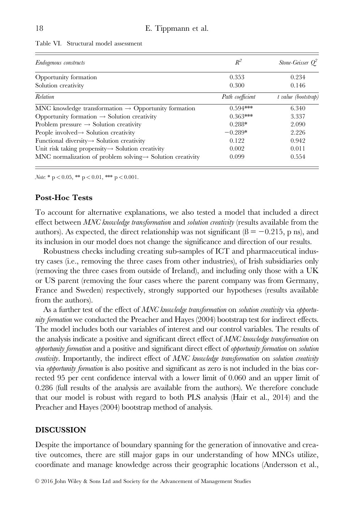| <i>Endogenous constructs</i>                                           | $R^2$            | Stone-Geisser $Q^2$ |
|------------------------------------------------------------------------|------------------|---------------------|
| Opportunity formation                                                  | 0.353            | 0.234               |
| Solution creativity                                                    | 0.300            | 0.146               |
| Relation                                                               | Path coefficient | t value (bootstrap) |
| MNC knowledge transformation $\rightarrow$ Opportunity formation       | $0.594***$       | 6.340               |
| Opportunity formation $\rightarrow$ Solution creativity                | $0.363***$       | 3.337               |
| Problem pressure $\rightarrow$ Solution creativity                     | $0.288*$         | 2.090               |
| People involved $\rightarrow$ Solution creativity                      | $-0.289*$        | 2.226               |
| Functional diversity $\rightarrow$ Solution creativity                 | 0.122            | 0.942               |
| Unit risk taking propensity $\rightarrow$ Solution creativity          | 0.002            | 0.011               |
| MNC normalization of problem solving $\rightarrow$ Solution creativity | 0.099            | 0.554               |

Table VI. Structural model assessment

Note: \*  $p < 0.05$ , \*\*  $p < 0.01$ , \*\*\*  $p < 0.001$ .

#### Post-Hoc Tests

To account for alternative explanations, we also tested a model that included a direct effect between MNC knowledge transformation and solution creativity (results available from the authors). As expected, the direct relationship was not significant ( $\beta = -0.215$ , p ns), and its inclusion in our model does not change the significance and direction of our results.

Robustness checks including creating sub-samples of ICT and pharmaceutical industry cases (i.e., removing the three cases from other industries), of Irish subsidiaries only (removing the three cases from outside of Ireland), and including only those with a UK or US parent (removing the four cases where the parent company was from Germany, France and Sweden) respectively, strongly supported our hypotheses (results available from the authors).

As a further test of the effect of MNC knowledge transformation on solution creativity via opportunity formation we conducted the Preacher and Hayes (2004) bootstrap test for indirect effects. The model includes both our variables of interest and our control variables. The results of the analysis indicate a positive and significant direct effect of  $MNC$  knowledge transformation on opportunity formation and a positive and significant direct effect of opportunity formation on solution creativity. Importantly, the indirect effect of MNC knowledge transformation on solution creativity via opportunity formation is also positive and significant as zero is not included in the bias corrected 95 per cent confidence interval with a lower limit of 0.060 and an upper limit of 0.286 (full results of the analysis are available from the authors). We therefore conclude that our model is robust with regard to both PLS analysis (Hair et al., 2014) and the Preacher and Hayes (2004) bootstrap method of analysis.

#### DISCUSSION

Despite the importance of boundary spanning for the generation of innovative and creative outcomes, there are still major gaps in our understanding of how MNCs utilize, coordinate and manage knowledge across their geographic locations (Andersson et al.,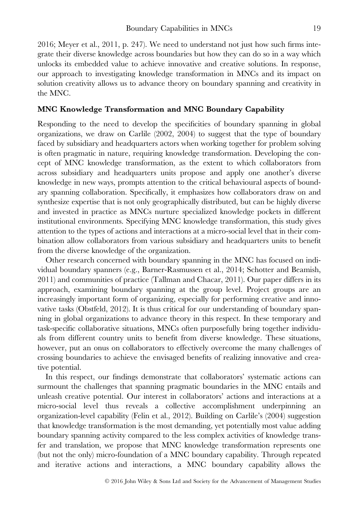2016; Meyer et al., 2011, p. 247). We need to understand not just how such firms integrate their diverse knowledge across boundaries but how they can do so in a way which unlocks its embedded value to achieve innovative and creative solutions. In response, our approach to investigating knowledge transformation in MNCs and its impact on solution creativity allows us to advance theory on boundary spanning and creativity in the MNC.

#### MNC Knowledge Transformation and MNC Boundary Capability

Responding to the need to develop the specificities of boundary spanning in global organizations, we draw on Carlile (2002, 2004) to suggest that the type of boundary faced by subsidiary and headquarters actors when working together for problem solving is often pragmatic in nature, requiring knowledge transformation. Developing the concept of MNC knowledge transformation, as the extent to which collaborators from across subsidiary and headquarters units propose and apply one another's diverse knowledge in new ways, prompts attention to the critical behavioural aspects of boundary spanning collaboration. Specifically, it emphasizes how collaborators draw on and synthesize expertise that is not only geographically distributed, but can be highly diverse and invested in practice as MNCs nurture specialized knowledge pockets in different institutional environments. Specifying MNC knowledge transformation, this study gives attention to the types of actions and interactions at a micro-social level that in their combination allow collaborators from various subsidiary and headquarters units to benefit from the diverse knowledge of the organization.

Other research concerned with boundary spanning in the MNC has focused on individual boundary spanners (e.g., Barner-Rasmussen et al., 2014; Schotter and Beamish, 2011) and communities of practice (Tallman and Chacar, 2011). Our paper differs in its approach, examining boundary spanning at the group level. Project groups are an increasingly important form of organizing, especially for performing creative and innovative tasks (Obstfeld, 2012). It is thus critical for our understanding of boundary spanning in global organizations to advance theory in this respect. In these temporary and task-specific collaborative situations, MNCs often purposefully bring together individuals from different country units to benefit from diverse knowledge. These situations, however, put an onus on collaborators to effectively overcome the many challenges of crossing boundaries to achieve the envisaged benefits of realizing innovative and creative potential.

In this respect, our findings demonstrate that collaborators' systematic actions can surmount the challenges that spanning pragmatic boundaries in the MNC entails and unleash creative potential. Our interest in collaborators' actions and interactions at a micro-social level thus reveals a collective accomplishment underpinning an organization-level capability (Felin et al., 2012). Building on Carlile's (2004) suggestion that knowledge transformation is the most demanding, yet potentially most value adding boundary spanning activity compared to the less complex activities of knowledge transfer and translation, we propose that MNC knowledge transformation represents one (but not the only) micro-foundation of a MNC boundary capability. Through repeated and iterative actions and interactions, a MNC boundary capability allows the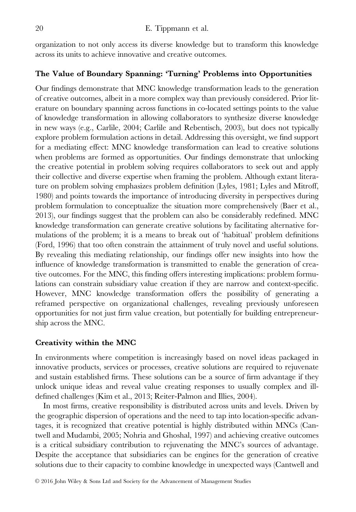organization to not only access its diverse knowledge but to transform this knowledge across its units to achieve innovative and creative outcomes.

# The Value of Boundary Spanning: 'Turning' Problems into Opportunities

Our findings demonstrate that MNC knowledge transformation leads to the generation of creative outcomes, albeit in a more complex way than previously considered. Prior literature on boundary spanning across functions in co-located settings points to the value of knowledge transformation in allowing collaborators to synthesize diverse knowledge in new ways (e.g., Carlile, 2004; Carlile and Rebentisch, 2003), but does not typically explore problem formulation actions in detail. Addressing this oversight, we find support for a mediating effect: MNC knowledge transformation can lead to creative solutions when problems are formed as opportunities. Our findings demonstrate that unlocking the creative potential in problem solving requires collaborators to seek out and apply their collective and diverse expertise when framing the problem. Although extant literature on problem solving emphasizes problem definition (Lyles, 1981; Lyles and Mitroff, 1980) and points towards the importance of introducing diversity in perspectives during problem formulation to conceptualize the situation more comprehensively (Baer et al., 2013), our findings suggest that the problem can also be considerably redefined. MNC knowledge transformation can generate creative solutions by facilitating alternative formulations of the problem; it is a means to break out of 'habitual' problem definitions (Ford, 1996) that too often constrain the attainment of truly novel and useful solutions. By revealing this mediating relationship, our findings offer new insights into how the influence of knowledge transformation is transmitted to enable the generation of creative outcomes. For the MNC, this finding offers interesting implications: problem formulations can constrain subsidiary value creation if they are narrow and context-specific. However, MNC knowledge transformation offers the possibility of generating a reframed perspective on organizational challenges, revealing previously unforeseen opportunities for not just firm value creation, but potentially for building entrepreneurship across the MNC.

#### Creativity within the MNC

In environments where competition is increasingly based on novel ideas packaged in innovative products, services or processes, creative solutions are required to rejuvenate and sustain established firms. These solutions can be a source of firm advantage if they unlock unique ideas and reveal value creating responses to usually complex and illdefined challenges (Kim et al., 2013; Reiter-Palmon and Illies, 2004).

In most firms, creative responsibility is distributed across units and levels. Driven by the geographic dispersion of operations and the need to tap into location-specific advantages, it is recognized that creative potential is highly distributed within MNCs (Cantwell and Mudambi, 2005; Nohria and Ghoshal, 1997) and achieving creative outcomes is a critical subsidiary contribution to rejuvenating the MNC's sources of advantage. Despite the acceptance that subsidiaries can be engines for the generation of creative solutions due to their capacity to combine knowledge in unexpected ways (Cantwell and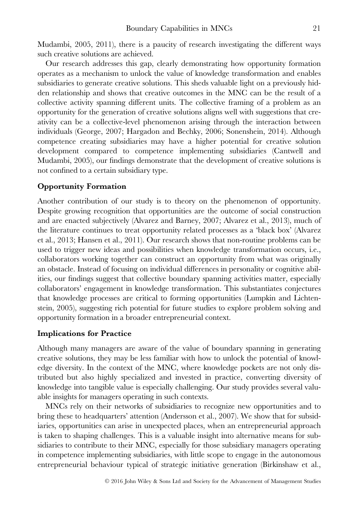Mudambi, 2005, 2011), there is a paucity of research investigating the different ways such creative solutions are achieved.

Our research addresses this gap, clearly demonstrating how opportunity formation operates as a mechanism to unlock the value of knowledge transformation and enables subsidiaries to generate creative solutions. This sheds valuable light on a previously hidden relationship and shows that creative outcomes in the MNC can be the result of a collective activity spanning different units. The collective framing of a problem as an opportunity for the generation of creative solutions aligns well with suggestions that creativity can be a collective-level phenomenon arising through the interaction between individuals (George, 2007; Hargadon and Bechky, 2006; Sonenshein, 2014). Although competence creating subsidiaries may have a higher potential for creative solution development compared to competence implementing subsidiaries (Cantwell and Mudambi, 2005), our findings demonstrate that the development of creative solutions is not confined to a certain subsidiary type.

#### Opportunity Formation

Another contribution of our study is to theory on the phenomenon of opportunity. Despite growing recognition that opportunities are the outcome of social construction and are enacted subjectively (Alvarez and Barney, 2007; Alvarez et al., 2013), much of the literature continues to treat opportunity related processes as a 'black box' (Alvarez et al., 2013; Hansen et al., 2011). Our research shows that non-routine problems can be used to trigger new ideas and possibilities when knowledge transformation occurs, i.e., collaborators working together can construct an opportunity from what was originally an obstacle. Instead of focusing on individual differences in personality or cognitive abilities, our findings suggest that collective boundary spanning activities matter, especially collaborators' engagement in knowledge transformation. This substantiates conjectures that knowledge processes are critical to forming opportunities (Lumpkin and Lichtenstein, 2005), suggesting rich potential for future studies to explore problem solving and opportunity formation in a broader entrepreneurial context.

#### Implications for Practice

Although many managers are aware of the value of boundary spanning in generating creative solutions, they may be less familiar with how to unlock the potential of knowledge diversity. In the context of the MNC, where knowledge pockets are not only distributed but also highly specialized and invested in practice, converting diversity of knowledge into tangible value is especially challenging. Our study provides several valuable insights for managers operating in such contexts.

MNCs rely on their networks of subsidiaries to recognize new opportunities and to bring these to headquarters' attention (Andersson et al., 2007). We show that for subsidiaries, opportunities can arise in unexpected places, when an entrepreneurial approach is taken to shaping challenges. This is a valuable insight into alternative means for subsidiaries to contribute to their MNC, especially for those subsidiary managers operating in competence implementing subsidiaries, with little scope to engage in the autonomous entrepreneurial behaviour typical of strategic initiative generation (Birkinshaw et al.,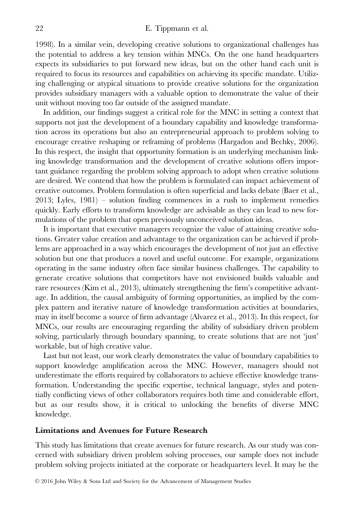1998). In a similar vein, developing creative solutions to organizational challenges has the potential to address a key tension within MNCs. On the one hand headquarters expects its subsidiaries to put forward new ideas, but on the other hand each unit is required to focus its resources and capabilities on achieving its specific mandate. Utilizing challenging or atypical situations to provide creative solutions for the organization provides subsidiary managers with a valuable option to demonstrate the value of their unit without moving too far outside of the assigned mandate.

In addition, our findings suggest a critical role for the MNC in setting a context that supports not just the development of a boundary capability and knowledge transformation across its operations but also an entrepreneurial approach to problem solving to encourage creative reshaping or reframing of problems (Hargadon and Bechky, 2006). In this respect, the insight that opportunity formation is an underlying mechanism linking knowledge transformation and the development of creative solutions offers important guidance regarding the problem solving approach to adopt when creative solutions are desired. We contend that how the problem is formulated can impact achievement of creative outcomes. Problem formulation is often superficial and lacks debate (Baer et al., 2013; Lyles, 1981) – solution finding commences in a rush to implement remedies quickly. Early efforts to transform knowledge are advisable as they can lead to new formulations of the problem that open previously unconceived solution ideas.

It is important that executive managers recognize the value of attaining creative solutions. Greater value creation and advantage to the organization can be achieved if problems are approached in a way which encourages the development of not just an effective solution but one that produces a novel and useful outcome. For example, organizations operating in the same industry often face similar business challenges. The capability to generate creative solutions that competitors have not envisioned builds valuable and rare resources (Kim et al., 2013), ultimately strengthening the firm's competitive advantage. In addition, the causal ambiguity of forming opportunities, as implied by the complex pattern and iterative nature of knowledge transformation activities at boundaries, may in itself become a source of firm advantage (Alvarez et al., 2013). In this respect, for MNCs, our results are encouraging regarding the ability of subsidiary driven problem solving, particularly through boundary spanning, to create solutions that are not 'just' workable, but of high creative value.

Last but not least, our work clearly demonstrates the value of boundary capabilities to support knowledge amplification across the MNC. However, managers should not underestimate the efforts required by collaborators to achieve effective knowledge transformation. Understanding the specific expertise, technical language, styles and potentially conflicting views of other collaborators requires both time and considerable effort, but as our results show, it is critical to unlocking the benefits of diverse MNC knowledge.

#### Limitations and Avenues for Future Research

This study has limitations that create avenues for future research. As our study was concerned with subsidiary driven problem solving processes, our sample does not include problem solving projects initiated at the corporate or headquarters level. It may be the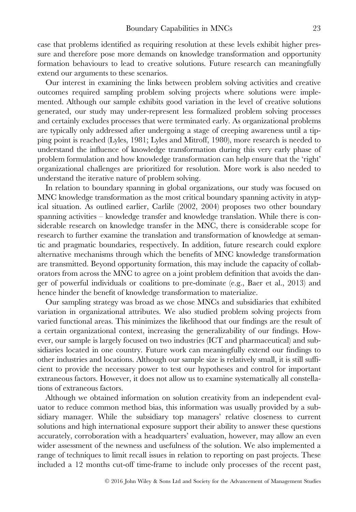case that problems identified as requiring resolution at these levels exhibit higher pressure and therefore pose more demands on knowledge transformation and opportunity formation behaviours to lead to creative solutions. Future research can meaningfully extend our arguments to these scenarios.

Our interest in examining the links between problem solving activities and creative outcomes required sampling problem solving projects where solutions were implemented. Although our sample exhibits good variation in the level of creative solutions generated, our study may under-represent less formalized problem solving processes and certainly excludes processes that were terminated early. As organizational problems are typically only addressed after undergoing a stage of creeping awareness until a tipping point is reached (Lyles, 1981; Lyles and Mitroff, 1980), more research is needed to understand the influence of knowledge transformation during this very early phase of problem formulation and how knowledge transformation can help ensure that the 'right' organizational challenges are prioritized for resolution. More work is also needed to understand the iterative nature of problem solving.

In relation to boundary spanning in global organizations, our study was focused on MNC knowledge transformation as the most critical boundary spanning activity in atypical situation. As outlined earlier, Carlile (2002, 2004) proposes two other boundary spanning activities – knowledge transfer and knowledge translation. While there is considerable research on knowledge transfer in the MNC, there is considerable scope for research to further examine the translation and transformation of knowledge at semantic and pragmatic boundaries, respectively. In addition, future research could explore alternative mechanisms through which the benefits of MNC knowledge transformation are transmitted. Beyond opportunity formation, this may include the capacity of collaborators from across the MNC to agree on a joint problem definition that avoids the danger of powerful individuals or coalitions to pre-dominate (e.g., Baer et al., 2013) and hence hinder the benefit of knowledge transformation to materialize.

Our sampling strategy was broad as we chose MNCs and subsidiaries that exhibited variation in organizational attributes. We also studied problem solving projects from varied functional areas. This minimizes the likelihood that our findings are the result of a certain organizational context, increasing the generalizability of our findings. However, our sample is largely focused on two industries (ICT and pharmaceutical) and subsidiaries located in one country. Future work can meaningfully extend our findings to other industries and locations. Although our sample size is relatively small, it is still sufficient to provide the necessary power to test our hypotheses and control for important extraneous factors. However, it does not allow us to examine systematically all constellations of extraneous factors.

Although we obtained information on solution creativity from an independent evaluator to reduce common method bias, this information was usually provided by a subsidiary manager. While the subsidiary top managers' relative closeness to current solutions and high international exposure support their ability to answer these questions accurately, corroboration with a headquarters' evaluation, however, may allow an even wider assessment of the newness and usefulness of the solution. We also implemented a range of techniques to limit recall issues in relation to reporting on past projects. These included a 12 months cut-off time-frame to include only processes of the recent past,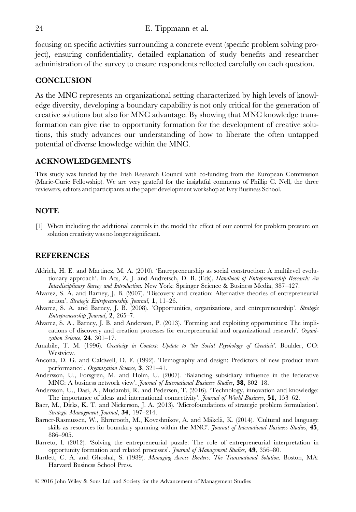focusing on specific activities surrounding a concrete event (specific problem solving project), ensuring confidentiality, detailed explanation of study benefits and researcher administration of the survey to ensure respondents reflected carefully on each question.

# **CONCLUSION**

As the MNC represents an organizational setting characterized by high levels of knowledge diversity, developing a boundary capability is not only critical for the generation of creative solutions but also for MNC advantage. By showing that MNC knowledge transformation can give rise to opportunity formation for the development of creative solutions, this study advances our understanding of how to liberate the often untapped potential of diverse knowledge within the MNC.

#### ACKNOWLEDGEMENTS

This study was funded by the Irish Research Council with co-funding from the European Commission (Marie-Curie Fellowship). We are very grateful for the insightful comments of Phillip C. Nell, the three reviewers, editors and participants at the paper development workshop at Ivey Business School.

# **NOTE**

[1] When including the additional controls in the model the effect of our control for problem pressure on solution creativity was no longer significant.

# REFERENCES

- Aldrich, H. E. and Martinez, M. A. (2010). 'Entrepreneurship as social construction: A multilevel evolutionary approach'. In Acs, Z. J. and Audretsch, D. B. (Eds), Handbook of Entrepreneurship Research: An Interdisciplinary Survey and Introduction. New York: Springer Science & Business Media, 387–427.
- Alvarez, S. A. and Barney, J. B. (2007). 'Discovery and creation: Alternative theories of entrepreneurial action'. Strategic Entrepreneurship Journal, 1, 11–26.
- Alvarez, S. A. and Barney, J. B. (2008). 'Opportunities, organizations, and entrepreneurship'. Strategic Entrepreneurship Journal, 2, 265–7.
- Alvarez, S. A., Barney, J. B. and Anderson, P. (2013). 'Forming and exploiting opportunities: The implications of discovery and creation processes for entrepreneurial and organizational research'. Organization Science,  $24$ ,  $301-17$ .
- Amabile, T. M. (1996). Creativity in Context: Update to 'the Social Psychology of Creativit'. Boulder, CO: Westview.
- Ancona, D. G. and Caldwell, D. F. (1992). 'Demography and design: Predictors of new product team performance'. Organization Science, 3, 321–41.
- Andersson, U., Forsgren, M. and Holm, U. (2007). 'Balancing subsidiary influence in the federative MNC: A business network view'. *Journal of International Business Studies*, **38**, 802-18.
- Andersson, U., Dasi, A., Mudambi, R. and Pedersen, T. (2016). 'Technology, innovation and knowledge: The importance of ideas and international connectivity'. Journal of World Business, 51, 153–62.
- Baer, M., Dirks, K. T. and Nickerson, J. A. (2013). 'Microfoundations of strategic problem formulation'. Strategic Management Journal, 34, 197-214.
- Barner-Rasmussen, W., Ehrnrooth, M., Koveshnikov, A. and Mäkelä, K. (2014). 'Cultural and language skills as resources for boundary spanning within the MNC'. Journal of International Business Studies, 45, 886–905.
- Barreto, I. (2012). 'Solving the entrepreneurial puzzle: The role of entrepreneurial interpretation in opportunity formation and related processes'. Journal of Management Studies, 49, 356–80.
- Bartlett, C. A. and Ghoshal, S. (1989). Managing Across Borders: The Transnational Solution. Boston, MA: Harvard Business School Press.

V<sup>C</sup> 2016 John Wiley & Sons Ltd and Society for the Advancement of Management Studies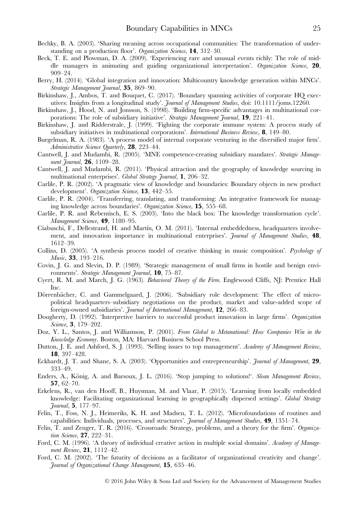- Bechky, B. A. (2003). 'Sharing meaning across occupational communities: The transformation of understanding on a production floor'. Organization Science, 14, 312-30.
- Beck, T. E. and Plowman, D. A. (2009). 'Experiencing rare and unusual events richly: The role of middle managers in animating and guiding organizational interpretation'. Organization Science, 20, 909–24.
- Berry, H. (2014). 'Global integration and innovation: Multicountry knowledge generation within MNCs'. Strategic Management Journal, 35, 869-90.
- Birkinshaw, J., Ambos, T. and Bouquet, C. (2017). 'Boundary spanning activities of corporate HQ executives: Insights from a longitudinal study'. Journal of Management Studies, doi: 10.1111/joms.12260.
- Birkinshaw, J., Hood, N. and Jonsson, S. (1998). 'Building firm-specific advantages in multinational corporations: The role of subsidiary initiative'. Strategic Management Journal, 19, 221–41.
- Birkinshaw, J. and Ridderstrale, J. (1999). 'Fighting the corporate immune system: A process study of subsidiary initiatives in multinational corporations'. *International Business Review*, **8**, 149–80.
- Burgelman, R. A. (1983). 'A process model of internal corporate venturing in the diversified major firm'. Administrative Science Quarterly, 28, 223-44.
- Cantwell, J. and Mudambi, R. (2005). 'MNE competence-creating subsidiary mandates'. Strategic Management Journal, **26**, 1109-28.
- Cantwell, J. and Mudambi, R. (2011). 'Physical attraction and the geography of knowledge sourcing in multinational enterprises'. Global Strategy Journal, 1, 206-32.
- Carlile, P. R. (2002). 'A pragmatic view of knowledge and boundaries: Boundary objects in new product development'. Organization Science, 13, 442-55.
- Carlile, P. R. (2004). 'Transferring, translating, and transforming: An integrative framework for managing knowledge across boundaries'. Organization Science, 15, 555–68.
- Carlile, P. R. and Rebentisch, E. S. (2003). 'Into the black box: The knowledge transformation cycle'. Management Science, 49, 1180-95.
- Ciabuschi, F., Dellestrand, H. and Martín, O. M. (2011). 'Internal embeddedness, headquarters involvement, and innovation importance in multinational enterprises'. Journal of Management Studies, 48, 1612–39.
- Collins, D. (2005). 'A synthesis process model of creative thinking in music composition'. Psychology of Music, **33**, 193-216.
- Covin, J. G. and Slevin, D. P. (1989). 'Strategic management of small firms in hostile and benign environments'. Strategic Management Journal, 10, 75–87.
- Cyert, R. M. and March, J. G. (1963). Behavioral Theory of the Firm. Englewood Cliffs, NJ: Prentice Hall Inc.
- Dörrenbächer, C. and Gammelgaard, J. (2006). 'Subsidiary role development: The effect of micropolitical headquarters–subsidiary negotiations on the product, market and value-added scope of foreign-owned subsidiaries'. Journal of International Management, 12, 266–83.
- Dougherty, D. (1992). 'Interpretive barriers to successful product innovation in large firms'. Organization Science, **3**, 179–202.
- Doz, Y. L., Santos, J. and Williamson, P. (2001). From Global to Metanational: How Companies Win in the Knowledge Economy. Boston, MA: Harvard Business School Press.
- Dutton, J. E. and Ashford, S. J. (1993). 'Selling issues to top management'. Academy of Management Review, 18, 397–428.
- Eckhardt, J. T. and Shane, S. A. (2003). 'Opportunities and entrepreneurship'. Journal of Management, 29, 333–49.
- Enders, A., König, A. and Barsoux, J. L. (2016). 'Stop jumping to solutions!'. Sloan Management Review, 57, 62–70.
- Erkelens, R., van den Hooff, B., Huysman, M. and Vlaar, P. (2015). 'Learning from locally embedded knowledge: Facilitating organizational learning in geographically dispersed settings'. Global Strategy Journal, 5, 177–97.
- Felin, T., Foss, N. J., Heimeriks, K. H. and Madsen, T. L. (2012). 'Microfoundations of routines and capabilities: Individuals, processes, and structures'. *Journal of Management Studies*, **49**, 1351–74.
- Felin, T. and Zenger, T. R. (2016). 'Crossroads: Strategy, problems, and a theory for the firm'. Organization Science, **27**, 222-31.
- Ford, C. M. (1996). 'A theory of individual creative action in multiple social domains'. Academy of Management Review, 21, 1112-42.
- Ford, C. M. (2002). 'The futurity of decisions as a facilitator of organizational creativity and change'. Journal of Organizational Change Management, 15, 635–46.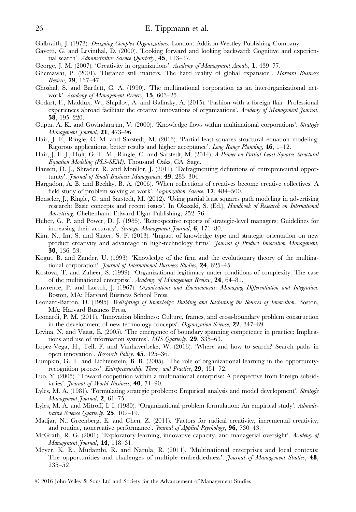- Galbraith, J. (1973). Designing Complex Organizations. London: Addison-Westley Publishing Company.
- Gavetti, G. and Levinthal, D. (2000). 'Looking forward and looking backward: Cognitive and experiential search'. Administrative Science Quarterly, **45**, 113–37.
- George, J. M. (2007). 'Creativity in organizations'. Academy of Management Annals, 1, 439–77.
- Ghemawat, P. (2001). 'Distance still matters. The hard reality of global expansion'. Harvard Business Review, 79, 137–47.
- Ghoshal, S. and Bartlett, C. A. (1990). 'The multinational corporation as an interorganizational network'. Academy of Management Review, **15**, 603-25.
- Godart, F., Maddux, W., Shipilov, A. and Galinsky, A. (2015). 'Fashion with a foreign flair: Professional experiences abroad facilitate the creative innovations of organizations'. Academy of Management Journal, 58, 195–220.
- Gupta, A. K. and Govindarajan, V. (2000). 'Knowledge flows within multinational corporations'. Strategic Management Journal, 21, 473-96.
- Hair, J. F., Ringle, C. M. and Sarstedt, M. (2013). 'Partial least squares structural equation modeling: Rigorous applications, better results and higher acceptance'. Long Range Planning, **46**, 1–12.
- Hair, J. F. J., Hult, G. T. M., Ringle, C. and Sarstedt, M. (2014). A Primer on Partial Least Squares Structural Equation Modeling (PLS-SEM). Thousand Oaks, CA: Sage.
- Hansen, D. J., Shrader, R. and Monllor, J. (2011). 'Defragmenting definitions of entrepreneurial opportunity'. Journal of Small Business Management, 49, 283-304.
- Hargadon, A. B. and Bechky, B. A. (2006). 'When collections of creatives become creative collectives: A field study of problem solving at work'. Organization Science, 17, 484-500.
- Henseler, J., Ringle, C. and Sarstedt, M. (2012). 'Using partial least squares path modeling in advertising research: Basic concepts and recent issues'. In Okazaki, S. (Ed.), Handbook of Research on International Advertising. Cheltenham: Edward Elgar Publishing, 252–76.
- Huber, G. P. and Power, D. J. (1985). 'Retrospective reports of strategic-level managers: Guidelines for increasing their accuracy'. Strategic Management Journal, 6, 171-80.
- Kim, N., Im, S. and Slater, S. F. (2013). 'Impact of knowledge type and strategic orientation on new product creativity and advantage in high-technology firms'. Journal of Product Innovation Management, 30, 136–53.
- Kogut, B. and Zander, U. (1993). 'Knowledge of the firm and the evolutionary theory of the multinational corporation'. Journal of International Business Studies, 24, 625-45.
- Kostova, T. and Zaheer, S. (1999). 'Organizational legitimacy under conditions of complexity: The case of the multinational enterprise'. Academy of Management Review, 24, 64-81.
- Lawrence, P. and Lorsch, J. (1967). Organizations and Environments: Managing Differentiation and Integration. Boston, MA: Harvard Business School Press.
- Leonard-Barton, D. (1995). Wellsprings of Knowledge: Building and Sustaining the Sources of Innovation. Boston, MA: Harvard Business Press.
- Leonardi, P. M. (2011). 'Innovation blindness: Culture, frames, and cross-boundary problem construction in the development of new technology concepts'. Organization Science, 22, 347–69.
- Levina, N. and Vaast, E. (2005). 'The emergence of boundary spanning competence in practice: Implications and use of information systems'. MIS Quarterly, 29, 335–63.
- Lopez-Vega, H., Tell, F. and Vanhaverbeke, W. (2016). 'Where and how to search? Search paths in open innovation'. Research Policy, 45, 125–36.
- Lumpkin, G. T. and Lichtenstein, B. B. (2005). 'The role of organizational learning in the opportunityrecognition process'. Entrepreneurship Theory and Practice, 29, 451–72.
- Luo, Y. (2005). 'Toward coopetition within a multinational enterprise: A perspective from foreign subsidiaries'. Journal of World Business,  $40$ ,  $71-90$ .
- Lyles, M. A. (1981). 'Formulating strategic problems: Empirical analysis and model development'. Strategic Management Journal, 2, 61-75.
- Lyles, M. A. and Mitroff, I. I. (1980). 'Organizational problem formulation: An empirical study'. Administrative Science Quarterly, **25**, 102-19.
- Madjar, N., Greenberg, E. and Chen, Z. (2011). 'Factors for radical creativity, incremental creativity, and routine, noncreative performance'. *Journal of Applied Psychology*, **96**, 730–43.
- McGrath, R. G. (2001). 'Exploratory learning, innovative capacity, and managerial oversight'. Academy of Management Journal, 44, 118-31.
- Meyer, K. E., Mudambi, R. and Narula, R. (2011). 'Multinational enterprises and local contexts: The opportunities and challenges of multiple embeddedness'. Journal of Management Studies, 48, 235–52.

 $\odot$  2016 John Wiley & Sons Ltd and Society for the Advancement of Management Studies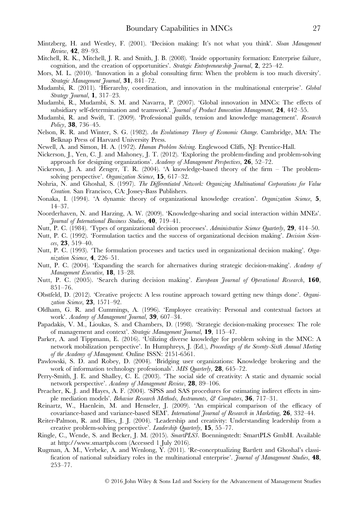- Mintzberg, H. and Westley, F. (2001). 'Decision making: It's not what you think'. Sloan Management Review, 42, 89–93.
- Mitchell, R. K., Mitchell, J. R. and Smith, J. B. (2008). 'Inside opportunity formation: Enterprise failure, cognition, and the creation of opportunities'. Strategic Entrepreneurship Journal, 2, 225–42.
- Mors, M. L. (2010). 'Innovation in a global consulting firm: When the problem is too much diversity'. Strategic Management Journal, 31, 841-72.
- Mudambi, R. (2011). 'Hierarchy, coordination, and innovation in the multinational enterprise'. Global Strategy Journal, 1, 317–23.
- Mudambi, R., Mudambi, S. M. and Navarra, P. (2007). 'Global innovation in MNCs: The effects of subsidiary self-determination and teamwork'. *Journal of Product Innovation Management*, **24**, 442–55.
- Mudambi, R. and Swift, T. (2009). 'Professional guilds, tension and knowledge management'. Research Policy, **38**, 736–45.
- Nelson, R. R. and Winter, S. G. (1982). An Evolutionary Theory of Economic Change. Cambridge, MA: The Belknap Press of Harvard University Press.
- Newell, A. and Simon, H. A. (1972). Human Problem Solving. Englewood Cliffs, NJ: Prentice-Hall.
- Nickerson, J., Yen, C. J. and Mahoney, J. T. (2012). 'Exploring the problem-finding and problem-solving approach for designing organizations'. Academy of Management Perspectives, 26, 52–72.
- Nickerson, J. A. and Zenger, T. R. (2004). 'A knowledge-based theory of the firm The problemsolving perspective'. Organization Science, 15, 617-32.
- Nohria, N. and Ghoshal, S. (1997). The Differentiated Network: Organizing Multinational Corporations for Value Creation. San Francisco, CA: Jossey-Bass Publishers.
- Nonaka, I. (1994). 'A dynamic theory of organizational knowledge creation'. Organization Science, 5, 14–37.
- Noorderhaven, N. and Harzing, A. W. (2009). 'Knowledge-sharing and social interaction within MNEs'. Journal of International Business Studies, 40, 719–41.
- Nutt, P. C. (1984). 'Types of organizational decision processes'. Administrative Science Quarterly, 29, 414–50.
- Nutt, P. C. (1992). 'Formulation tactics and the success of organizational decision making'. *Decision Scien*ces, 23, 519–40.
- Nutt, P. C. (1993). 'The formulation processes and tactics used in organizational decision making'. Organization Science,  $4, 226 - 51$ .
- Nutt, P. C. (2004). 'Expanding the search for alternatives during strategic decision-making'. Academy of Management Executive, 18, 13-28.
- Nutt, P. C. (2005). 'Search during decision making'. European Journal of Operational Research, 160, 851–76.
- Obstfeld, D. (2012). 'Creative projects: A less routine approach toward getting new things done'. Organization Science, 23, 1571-92.
- Oldham, G. R. and Cummings, A. (1996). 'Employee creativity: Personal and contextual factors at work'. Academy of Management Journal, 39, 607-34.
- Papadakis, V. M., Lioukas, S. and Chambers, D. (1998). 'Strategic decision-making processes: The role of management and context'. Strategic Management Journal, 19, 115–47.
- Parker, A. and Tippmann, E. (2016). 'Utilizing diverse knowledge for problem solving in the MNC: A network mobilization perspective'. In Humphreys, J. (Ed.), Proceedings of the Seventy-Sixth Annual Meeting of the Academy of Management. Online ISSN: 2151-6561.
- Pawlowski, S. D. and Robey, D. (2004). 'Bridging user organizations: Knowledge brokering and the work of information technology professionals'. MIS Quarterly, 28, 645–72.
- Perry-Smith, J. E. and Shalley, C. E. (2003). 'The social side of creativity: A static and dynamic social network perspective'. Academy of Management Review, 28, 89-106.
- Preacher, K. J. and Hayes, A. F. (2004). 'SPSS and SAS procedures for estimating indirect effects in simple mediation models'. Behavior Research Methods, Instruments, & Computers, 36, 717–31.
- Reinartz, W., Haenlein, M. and Henseler, J. (2009). 'An empirical comparison of the efficacy of covariance-based and variance-based SEM'. International Journal of Research in Marketing, 26, 332-44.
- Reiter-Palmon, R. and Illies, J. J. (2004). 'Leadership and creativity: Understanding leadership from a creative problem-solving perspective'. Leadership Quarterly, 15, 55–77.
- Ringle, C., Wende, S. and Becker, J. M. (2015). SmartPLS3. Boenningstedt: SmartPLS GmbH. Available at<http://www.smartpls.com> (Accessed 1 July 2016).
- Rugman, A. M., Verbeke, A. and Wenlong, Y. (2011). 'Re-conceptualizing Bartlett and Ghoshal's classification of national subsidiary roles in the multinational enterprise'. Journal of Management Studies,  $48$ , 253–77.